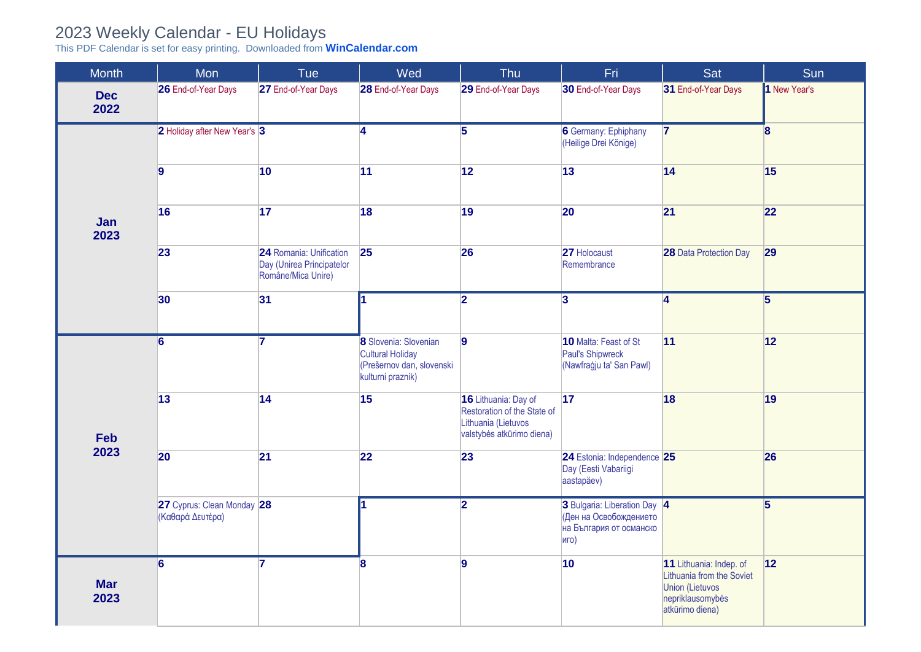## 2023 Weekly Calendar - EU Holidays

This PDF Calendar is set for easy printing. Downloaded from **[WinCalendar.com](https://www.wincalendar.com/2023-Calendar-with-EU-Holidays)**

| <b>Month</b>       | Mon                                           | <b>Tue</b>                                                                 | Wed                                                                                         | Thu                                                                                                     | Fri                                                                                       | Sat                                                                                                            | Sun                     |
|--------------------|-----------------------------------------------|----------------------------------------------------------------------------|---------------------------------------------------------------------------------------------|---------------------------------------------------------------------------------------------------------|-------------------------------------------------------------------------------------------|----------------------------------------------------------------------------------------------------------------|-------------------------|
| <b>Dec</b><br>2022 | 26 End-of-Year Days                           | 27 End-of-Year Days                                                        | 28 End-of-Year Days                                                                         | 29 End-of-Year Days                                                                                     | 30 End-of-Year Days                                                                       | 31 End-of-Year Days                                                                                            | 1 New Year's            |
| Jan<br>2023        | 2 Holiday after New Year's 3                  |                                                                            | $\overline{4}$                                                                              | $\overline{5}$                                                                                          | <b>6</b> Germany: Ephiphany<br>(Heilige Drei Könige)                                      | $\overline{7}$                                                                                                 | $\overline{\mathbf{8}}$ |
|                    | $\overline{9}$                                | 10                                                                         | 11                                                                                          | 12                                                                                                      | 13                                                                                        | 14                                                                                                             | 15                      |
|                    | 16                                            | 17                                                                         | 18                                                                                          | 19                                                                                                      | $ 20\rangle$                                                                              | 21                                                                                                             | 22                      |
|                    | 23                                            | 24 Romania: Unification<br>Day (Unirea Principatelor<br>Române/Mica Unire) | 25                                                                                          | 26                                                                                                      | 27 Holocaust<br>Remembrance                                                               | 28 Data Protection Day                                                                                         | 29                      |
|                    | 30                                            | 31                                                                         | $\overline{\mathbf{1}}$                                                                     | $\overline{2}$                                                                                          | $\overline{\mathbf{3}}$                                                                   | 4                                                                                                              | $\overline{5}$          |
| Feb<br>2023        | $\overline{6}$                                | 7                                                                          | 8 Slovenia: Slovenian<br>Cultural Holiday<br>(Prešernov dan, slovenski<br>kulturni praznik) | $\overline{9}$                                                                                          | 10 Malta: Feast of St<br>Paul's Shipwreck<br>(Nawfraġju ta' San Pawl)                     | 11                                                                                                             | 12                      |
|                    | 13                                            | 14                                                                         | 15                                                                                          | 16 Lithuania: Day of<br>Restoration of the State of<br>Lithuania (Lietuvos<br>valstybės atkūrimo diena) | 17                                                                                        | 18                                                                                                             | 19                      |
|                    | 20                                            | 21                                                                         | 22                                                                                          | 23                                                                                                      | 24 Estonia: Independence 25<br>Day (Eesti Vabariigi<br>aastapäev)                         |                                                                                                                | 26                      |
|                    | 27 Cyprus: Clean Monday 28<br>Καθαρά Δευτέρα) |                                                                            | I1.                                                                                         | $\overline{2}$                                                                                          | 3 Bulgaria: Liberation Day 4<br>(Ден на Освобождението<br>на България от османско<br>иго) |                                                                                                                | $\overline{5}$          |
| <b>Mar</b><br>2023 | $\overline{6}$                                | 7                                                                          | 8                                                                                           | 9                                                                                                       | 10                                                                                        | 11 Lithuania: Indep. of<br>Lithuania from the Soviet<br>Union (Lietuvos<br>nepriklausomybės<br>atkūrimo diena) | 12                      |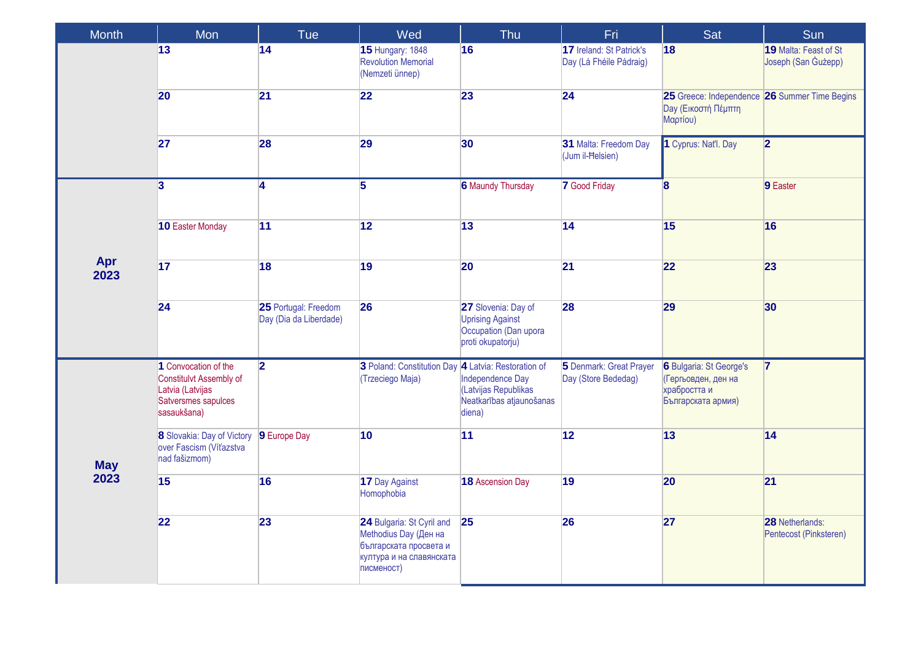| Month              | Mon                                                                                                       | Tue                                            | Wed                                                                                                                    | Thu                                                                                          | Fri                                                 | Sat                                                                                         | Sun                                              |
|--------------------|-----------------------------------------------------------------------------------------------------------|------------------------------------------------|------------------------------------------------------------------------------------------------------------------------|----------------------------------------------------------------------------------------------|-----------------------------------------------------|---------------------------------------------------------------------------------------------|--------------------------------------------------|
|                    | 13                                                                                                        | 14                                             | <b>15 Hungary: 1848</b><br><b>Revolution Memorial</b><br>(Nemzeti ünnep)                                               | 16                                                                                           | 17 Ireland: St Patrick's<br>Day (Lá Fhéile Pádraig) | 18                                                                                          | 19 Malta: Feast of St<br>Joseph (San Gużepp)     |
|                    | 20                                                                                                        | 21                                             | 22                                                                                                                     | 23                                                                                           | 24                                                  | 25 Greece: Independence 26 Summer Time Begins<br><b>Day (Εικοστή Πέμπτη</b><br>Μαρτίου)     |                                                  |
|                    | 27                                                                                                        | 28                                             | 29                                                                                                                     | 30                                                                                           | 31 Malta: Freedom Day<br>(Jum il-Helsien)           | 1 Cyprus: Nat'l. Day                                                                        | $\overline{2}$                                   |
| Apr<br>2023        | $\overline{3}$                                                                                            | $\overline{\mathbf{4}}$                        | $\overline{5}$                                                                                                         | <b>6 Maundy Thursday</b>                                                                     | <b>7</b> Good Friday                                | $\overline{\mathbf{8}}$                                                                     | 9 Easter                                         |
|                    | 10 Easter Monday                                                                                          | 11                                             | 12                                                                                                                     | 13                                                                                           | 14                                                  | 15                                                                                          | 16                                               |
|                    | 17                                                                                                        | 18                                             | 19                                                                                                                     | 20                                                                                           | 21                                                  | 22                                                                                          | 23                                               |
|                    | 24                                                                                                        | 25 Portugal: Freedom<br>Day (Dia da Liberdade) | 26                                                                                                                     | 27 Slovenia: Day of<br><b>Uprising Against</b><br>Occupation (Dan upora<br>proti okupatorju) | 28                                                  | 29                                                                                          | 30                                               |
| <b>May</b><br>2023 | 1 Convocation of the<br>Constitulvt Assembly of<br>Latvia (Latvijas<br>Satversmes sapulces<br>sasaukšana) | $\overline{\mathbf{2}}$                        | 3 Poland: Constitution Day 4 Latvia: Restoration of<br>(Trzeciego Maja)                                                | Independence Day<br>(Latvijas Republikas<br>Neatkarības atjaunošanas<br>diena)               | 5 Denmark: Great Prayer<br>Day (Store Bededag)      | <b>6</b> Bulgaria: St George's<br>(Гергьовден, ден на<br>храбростта и<br>Българската армия) | $\overline{7}$                                   |
|                    | 8 Slovakia: Day of Victory<br>over Fascism (Víťazstva<br>nad fašizmom)                                    | 9 Europe Day                                   | 10                                                                                                                     | 11                                                                                           | 12                                                  | 13                                                                                          | 14                                               |
|                    | 15                                                                                                        | 16                                             | 17 Day Against<br>Homophobia                                                                                           | <b>18 Ascension Day</b>                                                                      | 19                                                  | 20                                                                                          | 21                                               |
|                    | 22                                                                                                        | 23                                             | 24 Bulgaria: St Cyril and<br>Methodius Day (Ден на<br>българската просвета и<br>култура и на славянската<br>писменост) | 25                                                                                           | 26                                                  | 27                                                                                          | <b>28</b> Netherlands:<br>Pentecost (Pinksteren) |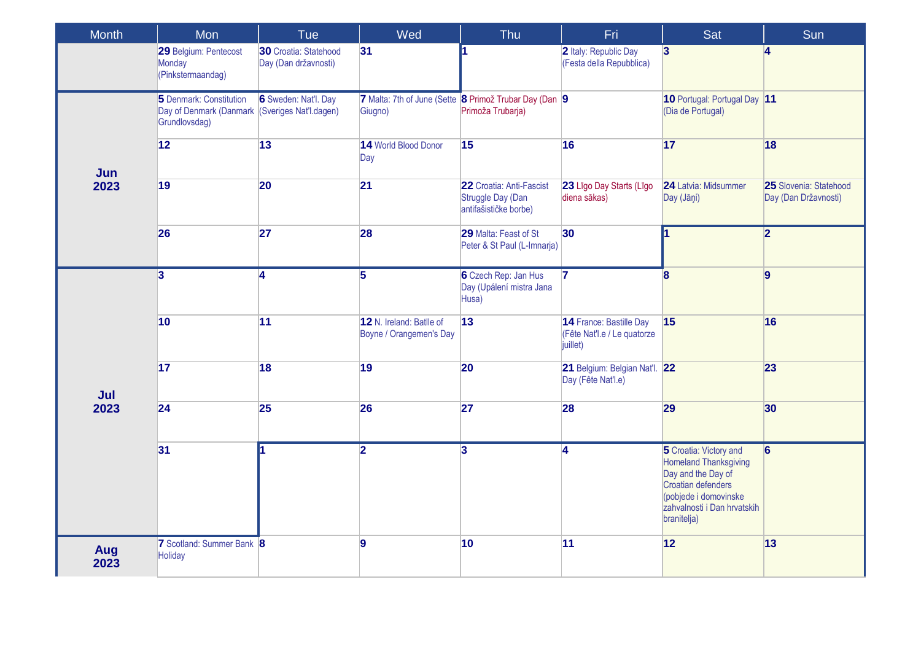| <b>Month</b> | Mon                                                                                               | Tue                                           | Wed                                                 | Thu                                                                         | Fri                                                                | Sat                                                                                                                                                                       | Sun                                            |
|--------------|---------------------------------------------------------------------------------------------------|-----------------------------------------------|-----------------------------------------------------|-----------------------------------------------------------------------------|--------------------------------------------------------------------|---------------------------------------------------------------------------------------------------------------------------------------------------------------------------|------------------------------------------------|
|              | 29 Belgium: Pentecost<br>Monday<br>(Pinkstermaandag)                                              | 30 Croatia: Statehood<br>Day (Dan državnosti) | 31                                                  |                                                                             | 2 Italy: Republic Day<br>(Festa della Repubblica)                  | $\overline{3}$                                                                                                                                                            | 4                                              |
| Jun<br>2023  | 5 Denmark: Constitution<br>Day of Denmark (Danmark <i>(Sveriges Nat'l.dagen)</i><br>Grundlovsdag) | 6 Sweden: Nat'l. Day                          | Giugno)                                             | 7 Malta: 7th of June (Sette 8 Primož Trubar Day (Dan 9<br>Primoža Trubarja) |                                                                    | 10 Portugal: Portugal Day 11<br>(Dia de Portugal)                                                                                                                         |                                                |
|              | 12                                                                                                | 13                                            | 14 World Blood Donor<br>Day                         | 15                                                                          | 16                                                                 | 17                                                                                                                                                                        | 18                                             |
|              | 19                                                                                                | 20                                            | 21                                                  | 22 Croatia: Anti-Fascist<br>Struggle Day (Dan<br>antifašističke borbe)      | 23 Līgo Day Starts (Līgo<br>diena sākas)                           | 24 Latvia: Midsummer<br>Day (Jāņi)                                                                                                                                        | 25 Slovenia: Statehood<br>Day (Dan Državnosti) |
|              | 26                                                                                                | 27                                            | 28                                                  | 29 Malta: Feast of St<br>Peter & St Paul (L-Imnarja)                        | 30 <sup>°</sup>                                                    | 1                                                                                                                                                                         | $\overline{2}$                                 |
|              | $\overline{\mathbf{3}}$                                                                           | $\overline{\mathbf{4}}$                       | $\overline{5}$                                      | 6 Czech Rep: Jan Hus<br>Day (Upálení mistra Jana<br>Husa)                   | $\overline{7}$                                                     | $\bf{8}$                                                                                                                                                                  | 9                                              |
|              | 10                                                                                                | 11                                            | 12 N. Ireland: Batlle of<br>Boyne / Orangemen's Day | 13                                                                          | 14 France: Bastille Day<br>(Fête Nat'l.e / Le quatorze<br>juillet) | 15                                                                                                                                                                        | 16                                             |
| Jul          | 17                                                                                                | 18                                            | 19                                                  | 20                                                                          | 21 Belgium: Belgian Nat'l. 22<br>Day (Fête Nat'l.e)                |                                                                                                                                                                           | 23                                             |
| 2023         | 24                                                                                                | <b>25</b>                                     | 26                                                  | 27                                                                          | 28                                                                 | 29                                                                                                                                                                        | 30                                             |
|              | 31                                                                                                |                                               | $\overline{\mathbf{2}}$                             | $\overline{3}$                                                              | $\overline{\mathbf{4}}$                                            | 5 Croatia: Victory and<br><b>Homeland Thanksgiving</b><br>Day and the Day of<br>Croatian defenders<br>(pobjede i domovinske<br>zahvalnosti i Dan hrvatskih<br>branitelja) | $6 \,$                                         |
| Aug<br>2023  | 7 Scotland: Summer Bank 8<br>Holiday                                                              |                                               | 9                                                   | 10                                                                          | 11                                                                 | 12                                                                                                                                                                        | 13                                             |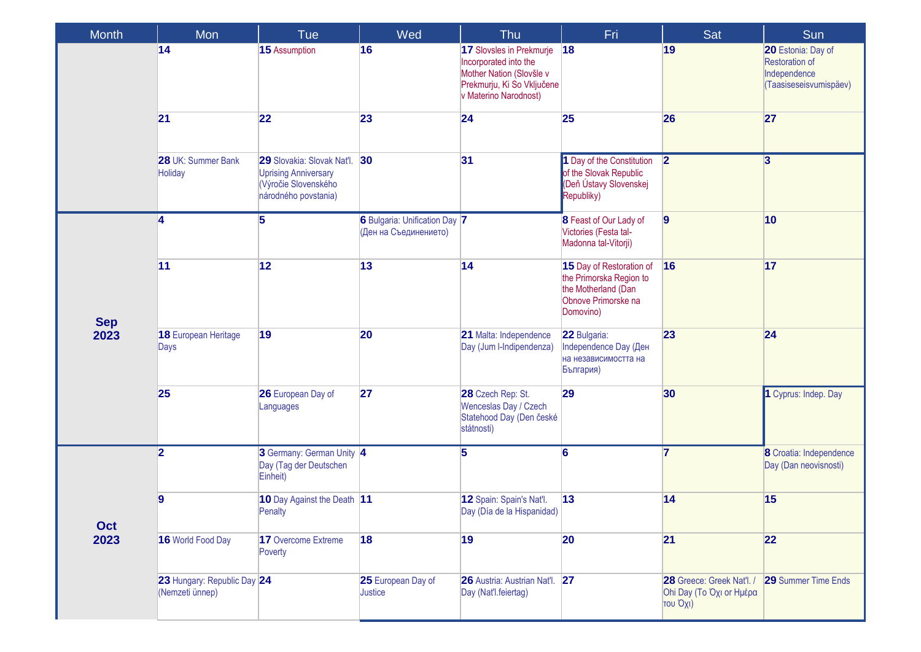| <b>Month</b>       | Mon                                            | Tue                                                                                                          | Wed                                                    | Thu                                                                                                                                  | Fri                                                                                                            | Sat                                                               | Sun                                                                                   |
|--------------------|------------------------------------------------|--------------------------------------------------------------------------------------------------------------|--------------------------------------------------------|--------------------------------------------------------------------------------------------------------------------------------------|----------------------------------------------------------------------------------------------------------------|-------------------------------------------------------------------|---------------------------------------------------------------------------------------|
|                    | 14                                             | 15 Assumption                                                                                                | 16                                                     | 17 Slovsles in Prekmurje<br>Incorporated into the<br>Mother Nation (Slovšle v<br>Prekmurju, Ki So Vključene<br>v Materino Narodnost) | 18                                                                                                             | 19                                                                | 20 Estonia: Day of<br><b>Restoration of</b><br>Independence<br>(Taasiseseisvumispäev) |
|                    | 21                                             | 22                                                                                                           | 23                                                     | 24                                                                                                                                   | 25                                                                                                             | 26                                                                | 27                                                                                    |
|                    | 28 UK: Summer Bank<br><b>Holiday</b>           | 29 Slovakia: Slovak Nat'l. 30<br><b>Uprising Anniversary</b><br>(Výročie Slovenského<br>národného povstania) |                                                        | 31                                                                                                                                   | 1 Day of the Constitution<br>of the Slovak Republic<br>(Deň Ústavy Slovenskej<br>Republiky)                    | $\overline{2}$                                                    | $\overline{3}$                                                                        |
| <b>Sep</b><br>2023 | 4                                              | 5                                                                                                            | 6 Bulgaria: Unification Day 7<br>(Ден на Съединението) |                                                                                                                                      | 8 Feast of Our Lady of<br>Victories (Festa tal-<br>Madonna tal-Vitorji)                                        | $\overline{9}$                                                    | 10                                                                                    |
|                    | 11                                             | 12                                                                                                           | 13                                                     | 14                                                                                                                                   | 15 Day of Restoration of<br>the Primorska Region to<br>the Motherland (Dan<br>Obnove Primorske na<br>Domovino) | 16                                                                | 17                                                                                    |
|                    | 18 European Heritage<br>Days                   | 19                                                                                                           | 20                                                     | 21 Malta: Independence<br>Day (Jum I-Indipendenza)                                                                                   | 22 Bulgaria:<br>Independence Day (Ден<br>на независимостта на<br>България)                                     | 23                                                                | 24                                                                                    |
|                    | 25                                             | 26 European Day of<br>Languages                                                                              | 27                                                     | 28 Czech Rep: St.<br>Wenceslas Day / Czech<br>Statehood Day (Den české<br>státnosti)                                                 | 29                                                                                                             | 30                                                                | 1 Cyprus: Indep. Day                                                                  |
| Oct<br>2023        | $\overline{\mathbf{2}}$                        | 3 Germany: German Unity 4<br>Day (Tag der Deutschen<br>Einheit)                                              |                                                        | 5                                                                                                                                    | 6                                                                                                              | $\overline{7}$                                                    | 8 Croatia: Independence<br>Day (Dan neovisnosti)                                      |
|                    | 9                                              | 10 Day Against the Death 11<br>Penalty                                                                       |                                                        | 12 Spain: Spain's Nat'l.<br>Day (Día de la Hispanidad)                                                                               | 13                                                                                                             | 14                                                                | 15                                                                                    |
|                    | 16 World Food Day                              | 17 Overcome Extreme<br>Poverty                                                                               | 18                                                     | 19                                                                                                                                   | 20                                                                                                             | 21                                                                | 22                                                                                    |
|                    | 23 Hungary: Republic Day 24<br>(Nemzeti ünnep) |                                                                                                              | 25 European Day of<br>Justice                          | 26 Austria: Austrian Nat'l. 27<br>Day (Nat'l.feiertag)                                                                               |                                                                                                                | 28 Greece: Greek Nat'l. /<br>Ohi Day (Το Όχι or Ημέρα<br>του Όχι) | <b>29 Summer Time Ends</b>                                                            |